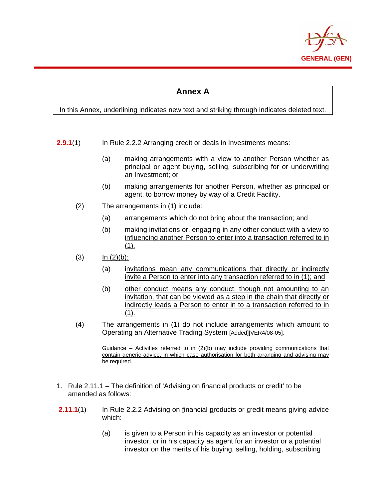

## **Annex A**

In this Annex, underlining indicates new text and striking through indicates deleted text.

- **2.9.1**(1) In Rule 2.2.2 Arranging credit or deals in Investments means:
	- (a) making arrangements with a view to another Person whether as principal or agent buying, selling, subscribing for or underwriting an Investment; or
	- (b) making arrangements for another Person, whether as principal or agent, to borrow money by way of a Credit Facility.
	- (2) The arrangements in (1) include:
		- (a) arrangements which do not bring about the transaction; and
		- (b) making invitations or, engaging in any other conduct with a view to influencing another Person to enter into a transaction referred to in  $(1).$
	- $(3)$   $\ln (2)(b)$ :

l,

- (a) invitations mean any communications that directly or indirectly invite a Person to enter into any transaction referred to in (1); and
- (b) other conduct means any conduct, though not amounting to an invitation, that can be viewed as a step in the chain that directly or indirectly leads a Person to enter in to a transaction referred to in (1).
- (4) The arrangements in (1) do not include arrangements which amount to Operating an Alternative Trading System [Added][VER4/08-05].

Guidance – Activities referred to in  $(2)(b)$  may include providing communications that contain generic advice, in which case authorisation for both arranging and advising may be required.

- 1. Rule 2.11.1 The definition of 'Advising on financial products or credit' to be amended as follows:
- **2.11.1**(1) In Rule 2.2.2 Advising on financial products or credit means giving advice which:
	- (a) is given to a Person in his capacity as an investor or potential investor, or in his capacity as agent for an investor or a potential investor on the merits of his buying, selling, holding, subscribing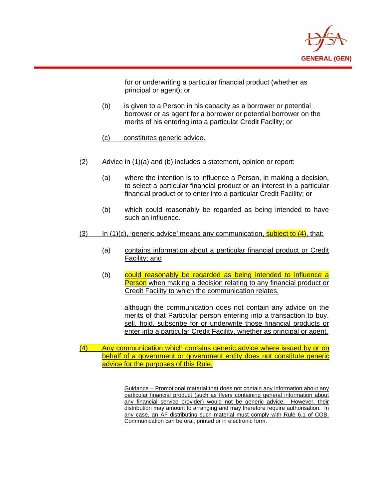

for or underwriting a particular financial product (whether as principal or agent); or

- (b) is given to a Person in his capacity as a borrower or potential borrower or as agent for a borrower or potential borrower on the merits of his entering into a particular Credit Facility; or
- (c) constitutes generic advice.

l,

- (2) Advice in (1)(a) and (b) includes a statement, opinion or report:
	- (a) where the intention is to influence a Person, in making a decision, to select a particular financial product or an interest in a particular financial product or to enter into a particular Credit Facility; or
	- (b) which could reasonably be regarded as being intended to have such an influence.
- (3) In  $(1)(c)$ , 'generic advice' means any communication, subject to  $(4)$ , that:
	- (a) contains information about a particular financial product or Credit Facility; and
	- (b) could reasonably be regarded as being intended to influence a **Person** when making a decision relating to any financial product or Credit Facility to which the communication relates,

although the communication does not contain any advice on the merits of that Particular person entering into a transaction to buy, sell, hold, subscribe for or underwrite those financial products or enter into a particular Credit Facility, whether as principal or agent.

(4) Any communication which contains generic advice where issued by or on behalf of a government or government entity does not constitute generic advice for the purposes of this Rule.

> Guidance – Promotional material that does not contain any information about any particular financial product (such as flyers containing general information about any financial service provider) would not be generic advice. However, their distribution may amount to arranging and may therefore require authorisation. In any case, an AF distributing such material must comply with Rule 6.1 of COB. Communication can be oral, printed or in electronic form.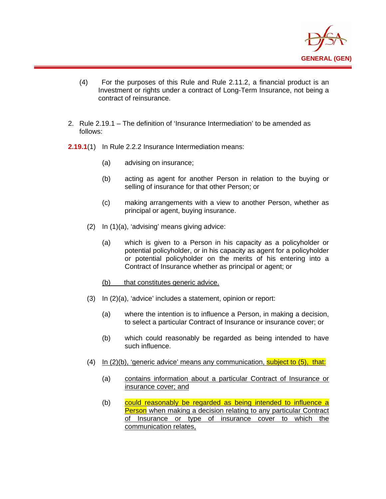

- (4) For the purposes of this Rule and Rule 2.11.2, a financial product is an Investment or rights under a contract of Long-Term Insurance, not being a contract of reinsurance.
- 2. Rule 2.19.1 The definition of 'Insurance Intermediation' to be amended as follows:
- **2.19.1**(1) In Rule 2.2.2 Insurance Intermediation means:
	- (a) advising on insurance;

l,

- (b) acting as agent for another Person in relation to the buying or selling of insurance for that other Person; or
- (c) making arrangements with a view to another Person, whether as principal or agent, buying insurance.
- (2) In (1)(a), 'advising' means giving advice:
	- (a) which is given to a Person in his capacity as a policyholder or potential policyholder, or in his capacity as agent for a policyholder or potential policyholder on the merits of his entering into a Contract of Insurance whether as principal or agent; or
	- (b) that constitutes generic advice.
- (3) In (2)(a), 'advice' includes a statement, opinion or report:
	- (a) where the intention is to influence a Person, in making a decision, to select a particular Contract of Insurance or insurance cover; or
	- (b) which could reasonably be regarded as being intended to have such influence.
- (4) In  $(2)(b)$ , 'generic advice' means any communication, subject to  $(5)$ , that:
	- (a) contains information about a particular Contract of Insurance or insurance cover; and
	- (b) could reasonably be regarded as being intended to influence a Person when making a decision relating to any particular Contract of Insurance or type of insurance cover to which the communication relates,